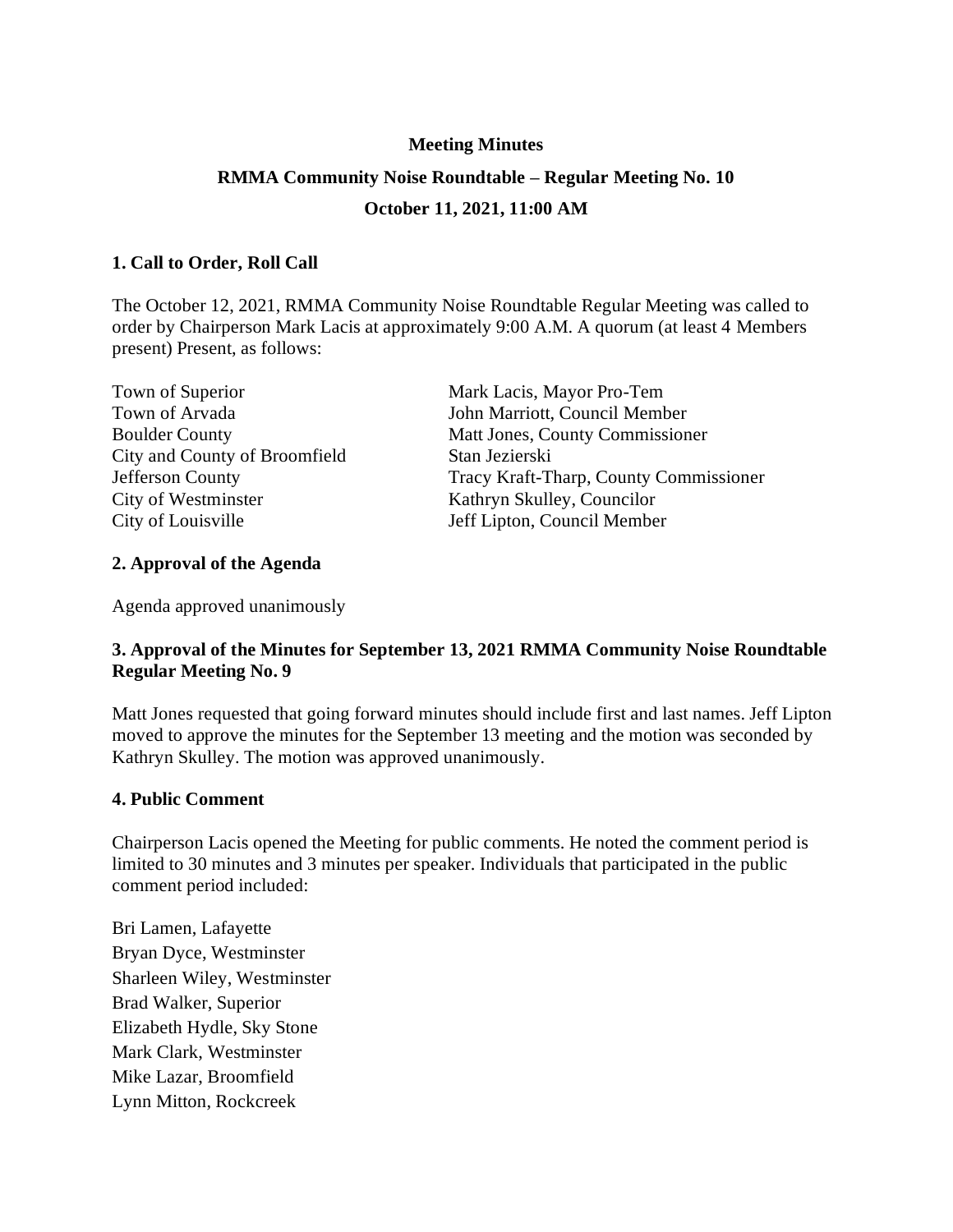# **Meeting Minutes RMMA Community Noise Roundtable – Regular Meeting No. 10 October 11, 2021, 11:00 AM**

## **1. Call to Order, Roll Call**

The October 12, 2021, RMMA Community Noise Roundtable Regular Meeting was called to order by Chairperson Mark Lacis at approximately 9:00 A.M. A quorum (at least 4 Members present) Present, as follows:

| Town of Superior              | Mark Lacis, Mayor Pro-Tem              |
|-------------------------------|----------------------------------------|
| Town of Arvada                | John Marriott, Council Member          |
| <b>Boulder County</b>         | Matt Jones, County Commissioner        |
| City and County of Broomfield | Stan Jezierski                         |
| Jefferson County              | Tracy Kraft-Tharp, County Commissioner |
| City of Westminster           | Kathryn Skulley, Councilor             |
| City of Louisville            | Jeff Lipton, Council Member            |

### **2. Approval of the Agenda**

Agenda approved unanimously

## **3. Approval of the Minutes for September 13, 2021 RMMA Community Noise Roundtable Regular Meeting No. 9**

Matt Jones requested that going forward minutes should include first and last names. Jeff Lipton moved to approve the minutes for the September 13 meeting and the motion was seconded by Kathryn Skulley. The motion was approved unanimously.

#### **4. Public Comment**

Chairperson Lacis opened the Meeting for public comments. He noted the comment period is limited to 30 minutes and 3 minutes per speaker. Individuals that participated in the public comment period included:

Bri Lamen, Lafayette Bryan Dyce, Westminster Sharleen Wiley, Westminster Brad Walker, Superior Elizabeth Hydle, Sky Stone Mark Clark, Westminster Mike Lazar, Broomfield Lynn Mitton, Rockcreek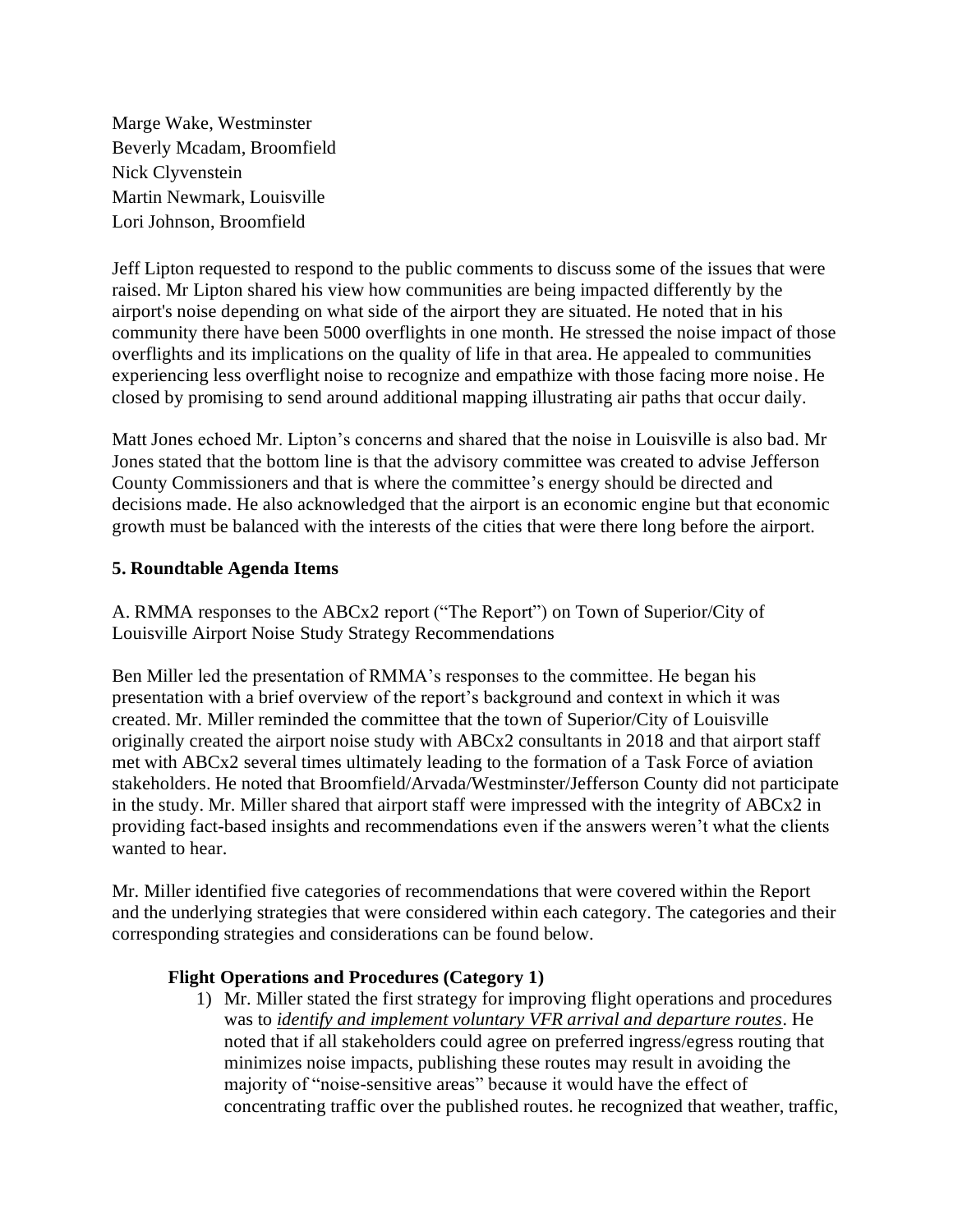Marge Wake, Westminster Beverly Mcadam, Broomfield Nick Clyvenstein Martin Newmark, Louisville Lori Johnson, Broomfield

Jeff Lipton requested to respond to the public comments to discuss some of the issues that were raised. Mr Lipton shared his view how communities are being impacted differently by the airport's noise depending on what side of the airport they are situated. He noted that in his community there have been 5000 overflights in one month. He stressed the noise impact of those overflights and its implications on the quality of life in that area. He appealed to communities experiencing less overflight noise to recognize and empathize with those facing more noise. He closed by promising to send around additional mapping illustrating air paths that occur daily.

Matt Jones echoed Mr. Lipton's concerns and shared that the noise in Louisville is also bad. Mr Jones stated that the bottom line is that the advisory committee was created to advise Jefferson County Commissioners and that is where the committee's energy should be directed and decisions made. He also acknowledged that the airport is an economic engine but that economic growth must be balanced with the interests of the cities that were there long before the airport.

### **5. Roundtable Agenda Items**

A. RMMA responses to the ABCx2 report ("The Report") on Town of Superior/City of Louisville Airport Noise Study Strategy Recommendations

Ben Miller led the presentation of RMMA's responses to the committee. He began his presentation with a brief overview of the report's background and context in which it was created. Mr. Miller reminded the committee that the town of Superior/City of Louisville originally created the airport noise study with ABCx2 consultants in 2018 and that airport staff met with ABCx2 several times ultimately leading to the formation of a Task Force of aviation stakeholders. He noted that Broomfield/Arvada/Westminster/Jefferson County did not participate in the study. Mr. Miller shared that airport staff were impressed with the integrity of ABCx2 in providing fact-based insights and recommendations even if the answers weren't what the clients wanted to hear.

Mr. Miller identified five categories of recommendations that were covered within the Report and the underlying strategies that were considered within each category. The categories and their corresponding strategies and considerations can be found below.

#### **Flight Operations and Procedures (Category 1)**

1) Mr. Miller stated the first strategy for improving flight operations and procedures was to *identify and implement voluntary VFR arrival and departure routes.* He noted that if all stakeholders could agree on preferred ingress/egress routing that minimizes noise impacts, publishing these routes may result in avoiding the majority of "noise-sensitive areas" because it would have the effect of concentrating traffic over the published routes. he recognized that weather, traffic,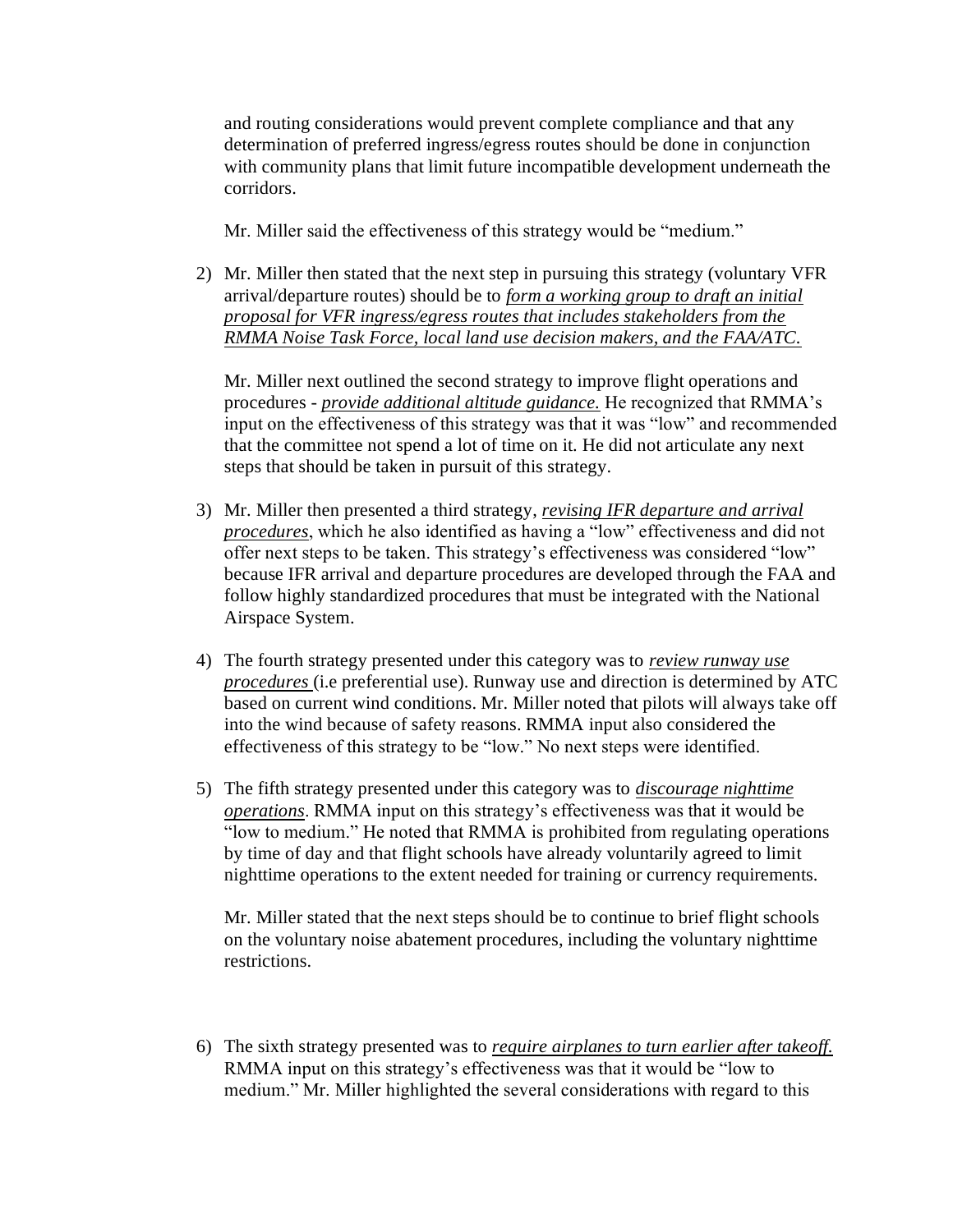and routing considerations would prevent complete compliance and that any determination of preferred ingress/egress routes should be done in conjunction with community plans that limit future incompatible development underneath the corridors.

Mr. Miller said the effectiveness of this strategy would be "medium."

2) Mr. Miller then stated that the next step in pursuing this strategy (voluntary VFR arrival/departure routes) should be to *form a working group to draft an initial proposal for VFR ingress/egress routes that includes stakeholders from the RMMA Noise Task Force, local land use decision makers, and the FAA/ATC.*

Mr. Miller next outlined the second strategy to improve flight operations and procedures - *provide additional altitude guidance.* He recognized that RMMA's input on the effectiveness of this strategy was that it was "low" and recommended that the committee not spend a lot of time on it. He did not articulate any next steps that should be taken in pursuit of this strategy.

- 3) Mr. Miller then presented a third strategy, *revising IFR departure and arrival procedures*, which he also identified as having a "low" effectiveness and did not offer next steps to be taken. This strategy's effectiveness was considered "low" because IFR arrival and departure procedures are developed through the FAA and follow highly standardized procedures that must be integrated with the National Airspace System.
- 4) The fourth strategy presented under this category was to *review runway use procedures* (i.e preferential use). Runway use and direction is determined by ATC based on current wind conditions. Mr. Miller noted that pilots will always take off into the wind because of safety reasons. RMMA input also considered the effectiveness of this strategy to be "low." No next steps were identified.
- 5) The fifth strategy presented under this category was to *discourage nighttime operations*. RMMA input on this strategy's effectiveness was that it would be "low to medium." He noted that RMMA is prohibited from regulating operations by time of day and that flight schools have already voluntarily agreed to limit nighttime operations to the extent needed for training or currency requirements.

Mr. Miller stated that the next steps should be to continue to brief flight schools on the voluntary noise abatement procedures, including the voluntary nighttime restrictions.

6) The sixth strategy presented was to *require airplanes to turn earlier after takeoff.* RMMA input on this strategy's effectiveness was that it would be "low to medium." Mr. Miller highlighted the several considerations with regard to this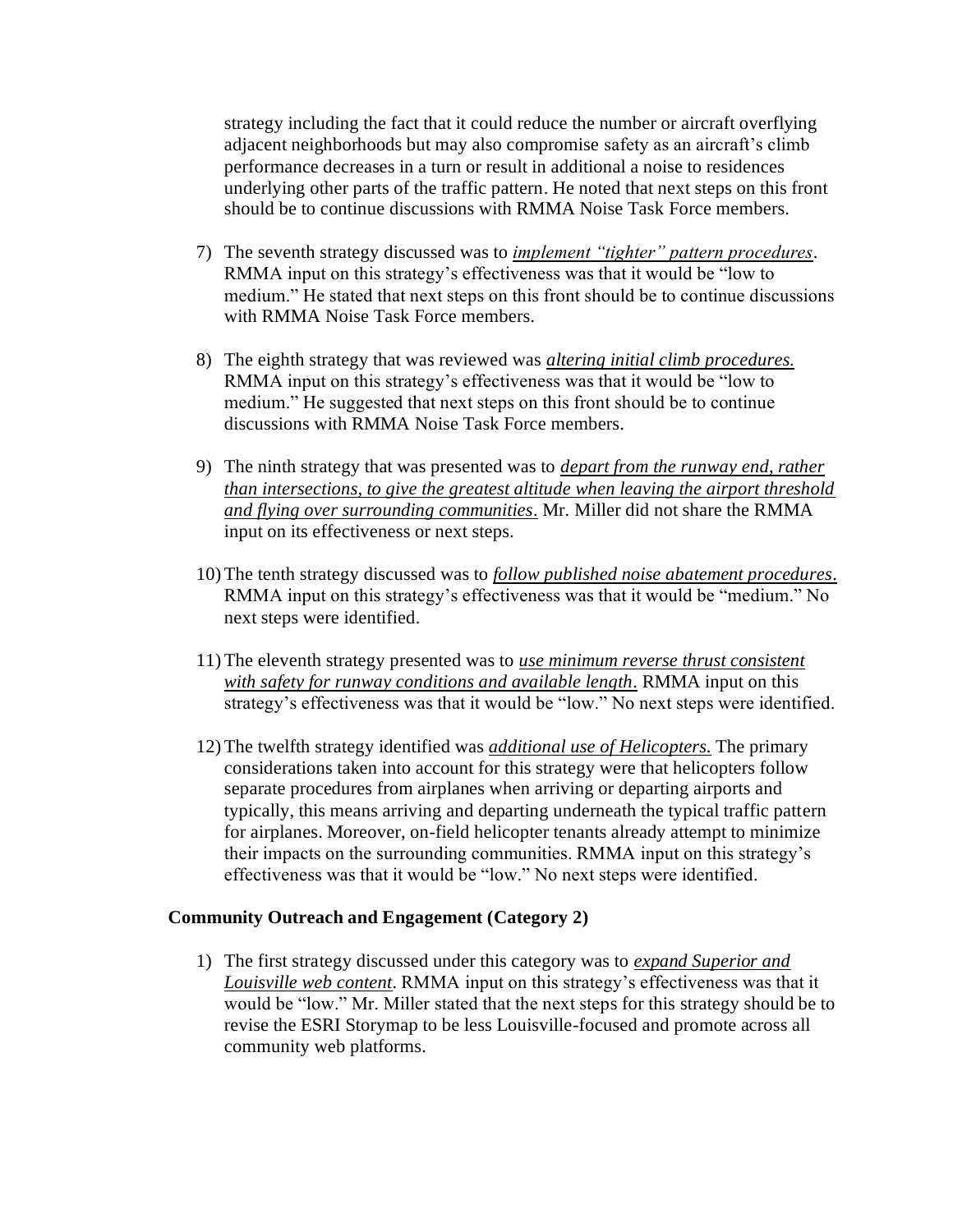strategy including the fact that it could reduce the number or aircraft overflying adjacent neighborhoods but may also compromise safety as an aircraft's climb performance decreases in a turn or result in additional a noise to residences underlying other parts of the traffic pattern. He noted that next steps on this front should be to continue discussions with RMMA Noise Task Force members.

- 7) The seventh strategy discussed was to *implement "tighter" pattern procedures*. RMMA input on this strategy's effectiveness was that it would be "low to medium." He stated that next steps on this front should be to continue discussions with RMMA Noise Task Force members.
- 8) The eighth strategy that was reviewed was *altering initial climb procedures.*  RMMA input on this strategy's effectiveness was that it would be "low to medium." He suggested that next steps on this front should be to continue discussions with RMMA Noise Task Force members.
- 9) The ninth strategy that was presented was to *depart from the runway end, rather than intersections, to give the greatest altitude when leaving the airport threshold and flying over surrounding communities.* Mr. Miller did not share the RMMA input on its effectiveness or next steps.
- 10) The tenth strategy discussed was to *follow published noise abatement procedures.* RMMA input on this strategy's effectiveness was that it would be "medium." No next steps were identified.
- 11) The eleventh strategy presented was to *use minimum reverse thrust consistent with safety for runway conditions and available length.* RMMA input on this strategy's effectiveness was that it would be "low." No next steps were identified.
- 12) The twelfth strategy identified was *additional use of Helicopters.* The primary considerations taken into account for this strategy were that helicopters follow separate procedures from airplanes when arriving or departing airports and typically, this means arriving and departing underneath the typical traffic pattern for airplanes. Moreover, on-field helicopter tenants already attempt to minimize their impacts on the surrounding communities. RMMA input on this strategy's effectiveness was that it would be "low." No next steps were identified.

#### **Community Outreach and Engagement (Category 2)**

1) The first strategy discussed under this category was to *expand Superior and Louisville web content*. RMMA input on this strategy's effectiveness was that it would be "low." Mr. Miller stated that the next steps for this strategy should be to revise the ESRI Storymap to be less Louisville-focused and promote across all community web platforms.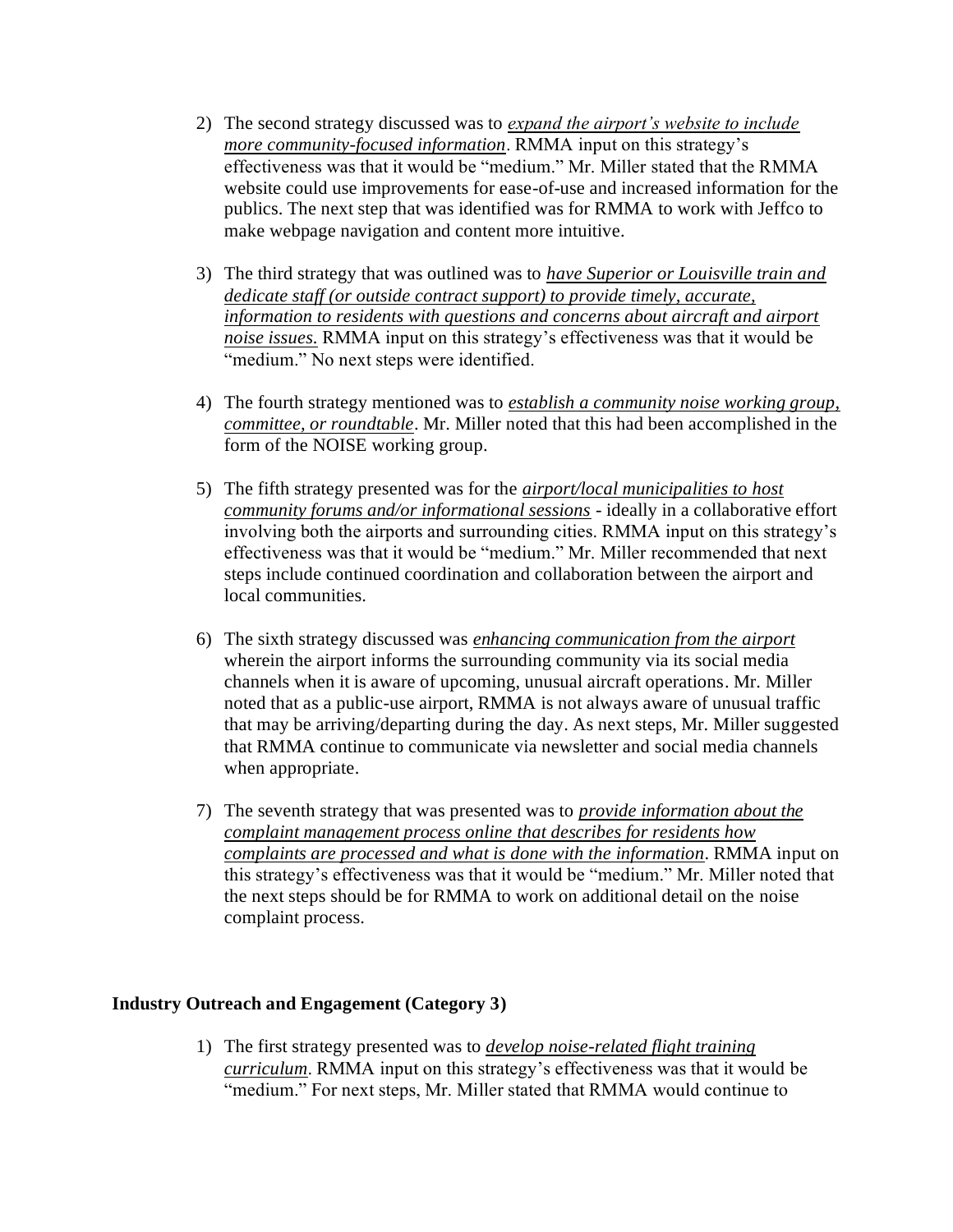- 2) The second strategy discussed was to *expand the airport's website to include more community-focused information*. RMMA input on this strategy's effectiveness was that it would be "medium." Mr. Miller stated that the RMMA website could use improvements for ease-of-use and increased information for the publics. The next step that was identified was for RMMA to work with Jeffco to make webpage navigation and content more intuitive.
- 3) The third strategy that was outlined was to *have Superior or Louisville train and dedicate staff (or outside contract support) to provide timely, accurate, information to residents with questions and concerns about aircraft and airport noise issues.* RMMA input on this strategy's effectiveness was that it would be "medium." No next steps were identified.
- 4) The fourth strategy mentioned was to *establish a community noise working group, committee, or roundtable*. Mr. Miller noted that this had been accomplished in the form of the NOISE working group.
- 5) The fifth strategy presented was for the *airport/local municipalities to host community forums and/or informational sessions* - ideally in a collaborative effort involving both the airports and surrounding cities. RMMA input on this strategy's effectiveness was that it would be "medium." Mr. Miller recommended that next steps include continued coordination and collaboration between the airport and local communities.
- 6) The sixth strategy discussed was *enhancing communication from the airport*  wherein the airport informs the surrounding community via its social media channels when it is aware of upcoming, unusual aircraft operations. Mr. Miller noted that as a public-use airport, RMMA is not always aware of unusual traffic that may be arriving/departing during the day. As next steps, Mr. Miller suggested that RMMA continue to communicate via newsletter and social media channels when appropriate.
- 7) The seventh strategy that was presented was to *provide information about the complaint management process online that describes for residents how complaints are processed and what is done with the information*. RMMA input on this strategy's effectiveness was that it would be "medium." Mr. Miller noted that the next steps should be for RMMA to work on additional detail on the noise complaint process.

## **Industry Outreach and Engagement (Category 3)**

1) The first strategy presented was to *develop noise-related flight training curriculum*. RMMA input on this strategy's effectiveness was that it would be "medium." For next steps, Mr. Miller stated that RMMA would continue to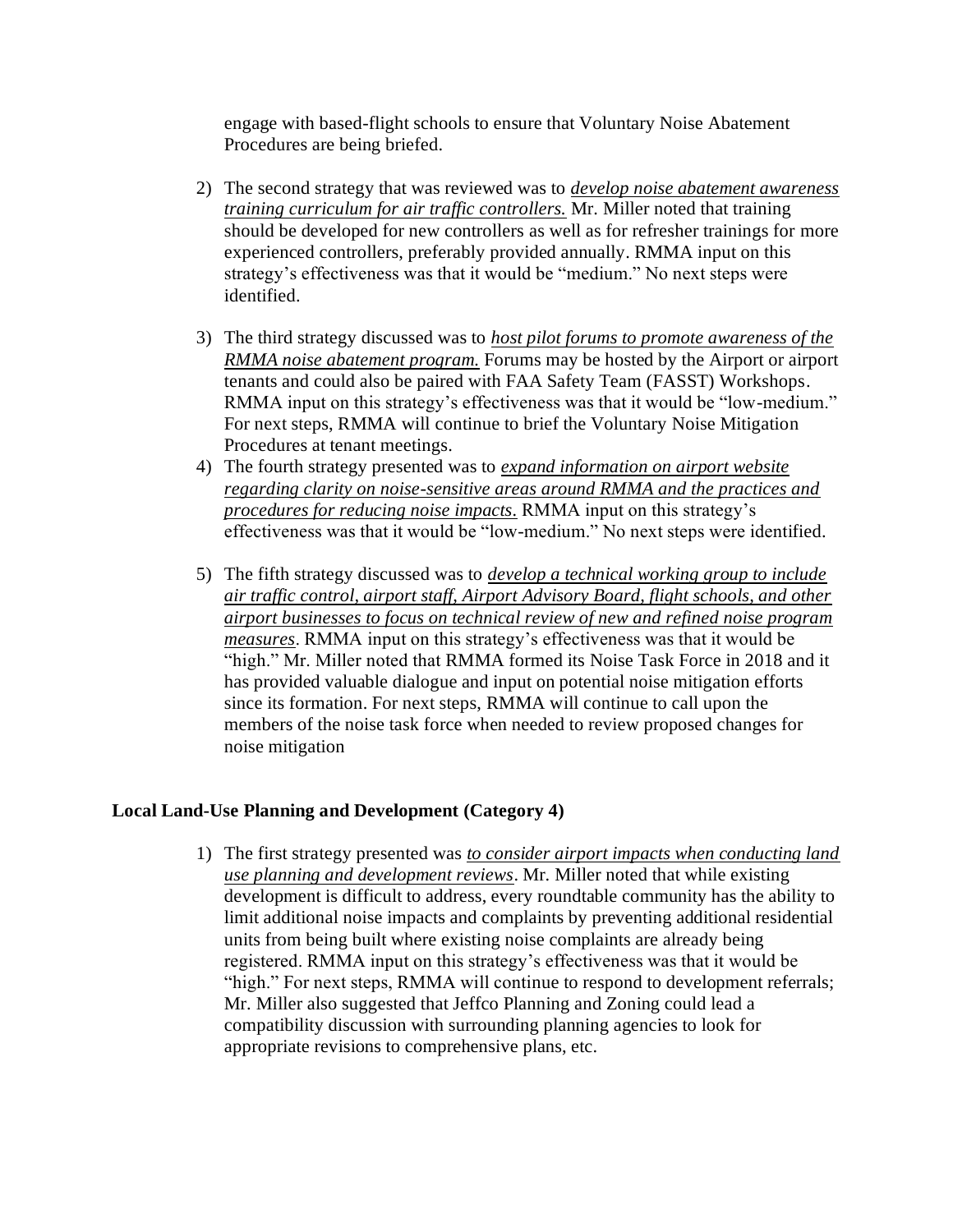engage with based-flight schools to ensure that Voluntary Noise Abatement Procedures are being briefed.

- 2) The second strategy that was reviewed was to *develop noise abatement awareness training curriculum for air traffic controllers.* Mr. Miller noted that training should be developed for new controllers as well as for refresher trainings for more experienced controllers, preferably provided annually. RMMA input on this strategy's effectiveness was that it would be "medium." No next steps were identified.
- 3) The third strategy discussed was to *host pilot forums to promote awareness of the RMMA noise abatement program.* Forums may be hosted by the Airport or airport tenants and could also be paired with FAA Safety Team (FASST) Workshops. RMMA input on this strategy's effectiveness was that it would be "low-medium." For next steps, RMMA will continue to brief the Voluntary Noise Mitigation Procedures at tenant meetings.
- 4) The fourth strategy presented was to *expand information on airport website regarding clarity on noise-sensitive areas around RMMA and the practices and procedures for reducing noise impacts.* RMMA input on this strategy's effectiveness was that it would be "low-medium." No next steps were identified.
- 5) The fifth strategy discussed was to *develop a technical working group to include air traffic control, airport staff, Airport Advisory Board, flight schools, and other airport businesses to focus on technical review of new and refined noise program measures*. RMMA input on this strategy's effectiveness was that it would be "high." Mr. Miller noted that RMMA formed its Noise Task Force in 2018 and it has provided valuable dialogue and input on potential noise mitigation efforts since its formation. For next steps, RMMA will continue to call upon the members of the noise task force when needed to review proposed changes for noise mitigation

#### **Local Land-Use Planning and Development (Category 4)**

1) The first strategy presented was *to consider airport impacts when conducting land use planning and development reviews*. Mr. Miller noted that while existing development is difficult to address, every roundtable community has the ability to limit additional noise impacts and complaints by preventing additional residential units from being built where existing noise complaints are already being registered. RMMA input on this strategy's effectiveness was that it would be "high." For next steps, RMMA will continue to respond to development referrals; Mr. Miller also suggested that Jeffco Planning and Zoning could lead a compatibility discussion with surrounding planning agencies to look for appropriate revisions to comprehensive plans, etc.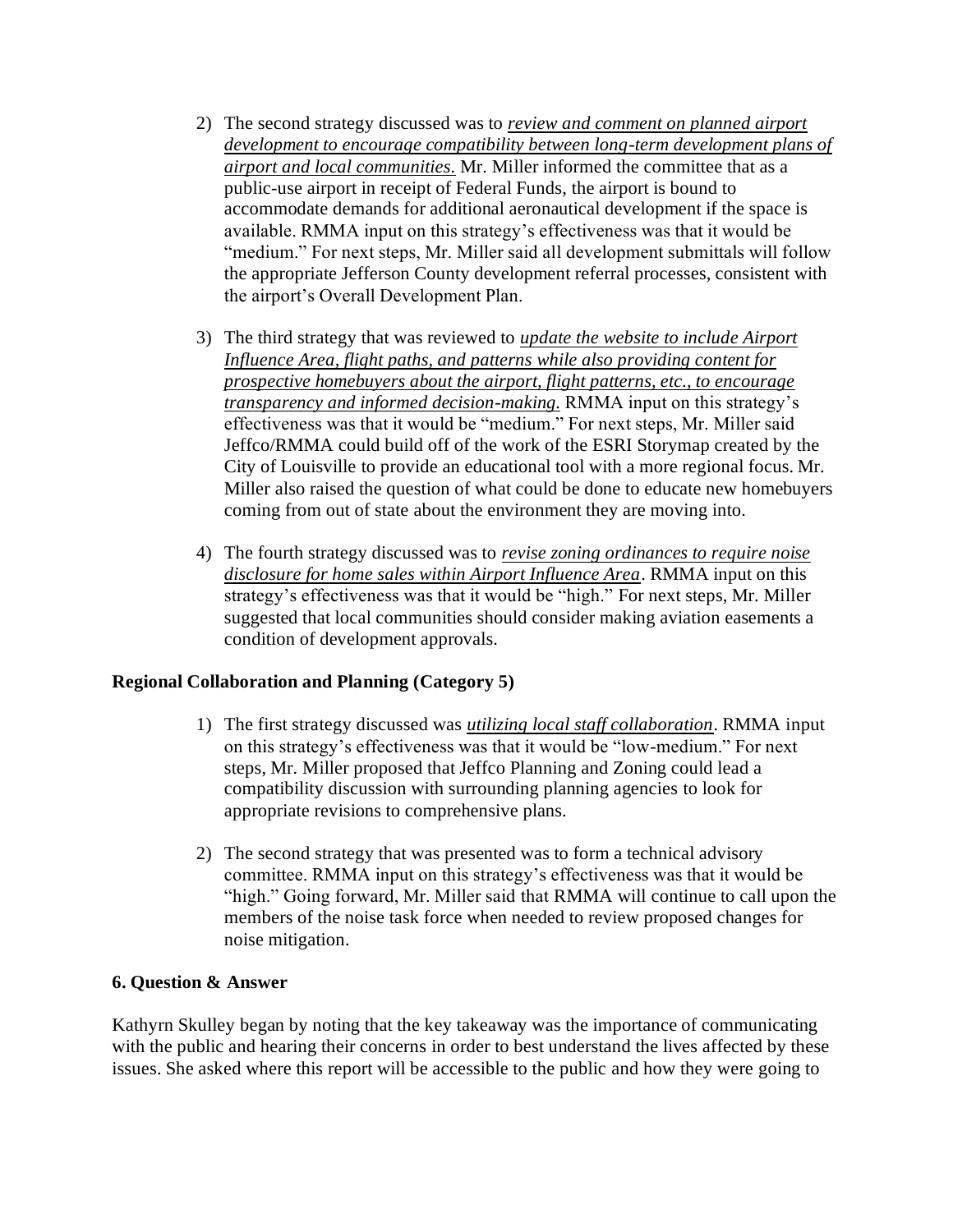- 2) The second strategy discussed was to *review and comment on planned airport development to encourage compatibility between long-term development plans of airport and local communities.* Mr. Miller informed the committee that as a public-use airport in receipt of Federal Funds, the airport is bound to accommodate demands for additional aeronautical development if the space is available. RMMA input on this strategy's effectiveness was that it would be "medium." For next steps, Mr. Miller said all development submittals will follow the appropriate Jefferson County development referral processes, consistent with the airport's Overall Development Plan.
- 3) The third strategy that was reviewed to *update the website to include Airport Influence Area, flight paths, and patterns while also providing content for prospective homebuyers about the airport, flight patterns, etc., to encourage transparency and informed decision-making.* RMMA input on this strategy's effectiveness was that it would be "medium." For next steps, Mr. Miller said Jeffco/RMMA could build off of the work of the ESRI Storymap created by the City of Louisville to provide an educational tool with a more regional focus. Mr. Miller also raised the question of what could be done to educate new homebuyers coming from out of state about the environment they are moving into.
- 4) The fourth strategy discussed was to *revise zoning ordinances to require noise disclosure for home sales within Airport Influence Area*. RMMA input on this strategy's effectiveness was that it would be "high." For next steps, Mr. Miller suggested that local communities should consider making aviation easements a condition of development approvals.

#### **Regional Collaboration and Planning (Category 5)**

- 1) The first strategy discussed was *utilizing local staff collaboration*. RMMA input on this strategy's effectiveness was that it would be "low-medium." For next steps, Mr. Miller proposed that Jeffco Planning and Zoning could lead a compatibility discussion with surrounding planning agencies to look for appropriate revisions to comprehensive plans.
- 2) The second strategy that was presented was to form a technical advisory committee. RMMA input on this strategy's effectiveness was that it would be "high." Going forward, Mr. Miller said that RMMA will continue to call upon the members of the noise task force when needed to review proposed changes for noise mitigation.

#### **6. Question & Answer**

Kathyrn Skulley began by noting that the key takeaway was the importance of communicating with the public and hearing their concerns in order to best understand the lives affected by these issues. She asked where this report will be accessible to the public and how they were going to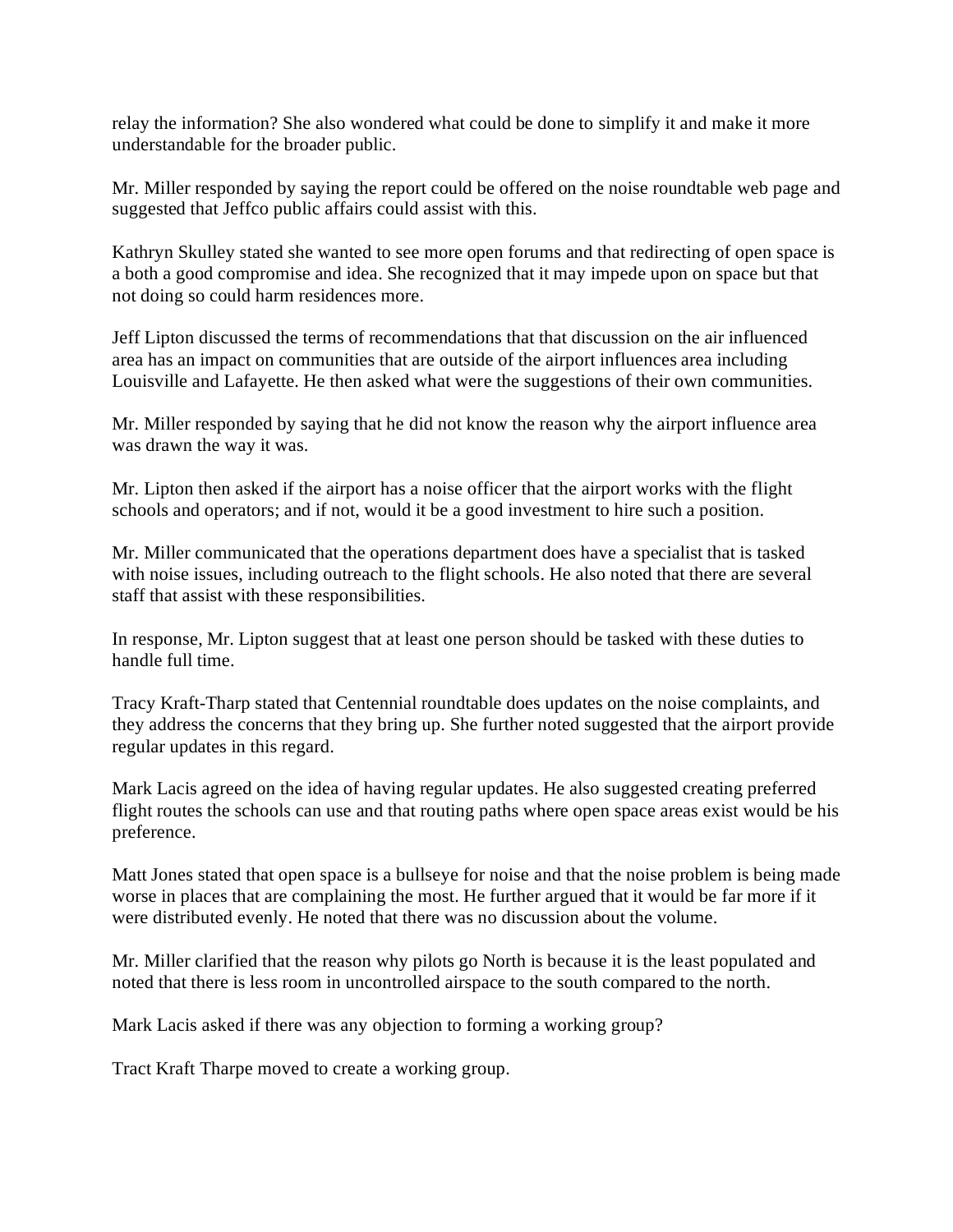relay the information? She also wondered what could be done to simplify it and make it more understandable for the broader public.

Mr. Miller responded by saying the report could be offered on the noise roundtable web page and suggested that Jeffco public affairs could assist with this.

Kathryn Skulley stated she wanted to see more open forums and that redirecting of open space is a both a good compromise and idea. She recognized that it may impede upon on space but that not doing so could harm residences more.

Jeff Lipton discussed the terms of recommendations that that discussion on the air influenced area has an impact on communities that are outside of the airport influences area including Louisville and Lafayette. He then asked what were the suggestions of their own communities.

Mr. Miller responded by saying that he did not know the reason why the airport influence area was drawn the way it was.

Mr. Lipton then asked if the airport has a noise officer that the airport works with the flight schools and operators; and if not, would it be a good investment to hire such a position.

Mr. Miller communicated that the operations department does have a specialist that is tasked with noise issues, including outreach to the flight schools. He also noted that there are several staff that assist with these responsibilities.

In response, Mr. Lipton suggest that at least one person should be tasked with these duties to handle full time.

Tracy Kraft-Tharp stated that Centennial roundtable does updates on the noise complaints, and they address the concerns that they bring up. She further noted suggested that the airport provide regular updates in this regard.

Mark Lacis agreed on the idea of having regular updates. He also suggested creating preferred flight routes the schools can use and that routing paths where open space areas exist would be his preference.

Matt Jones stated that open space is a bullseye for noise and that the noise problem is being made worse in places that are complaining the most. He further argued that it would be far more if it were distributed evenly. He noted that there was no discussion about the volume.

Mr. Miller clarified that the reason why pilots go North is because it is the least populated and noted that there is less room in uncontrolled airspace to the south compared to the north.

Mark Lacis asked if there was any objection to forming a working group?

Tract Kraft Tharpe moved to create a working group.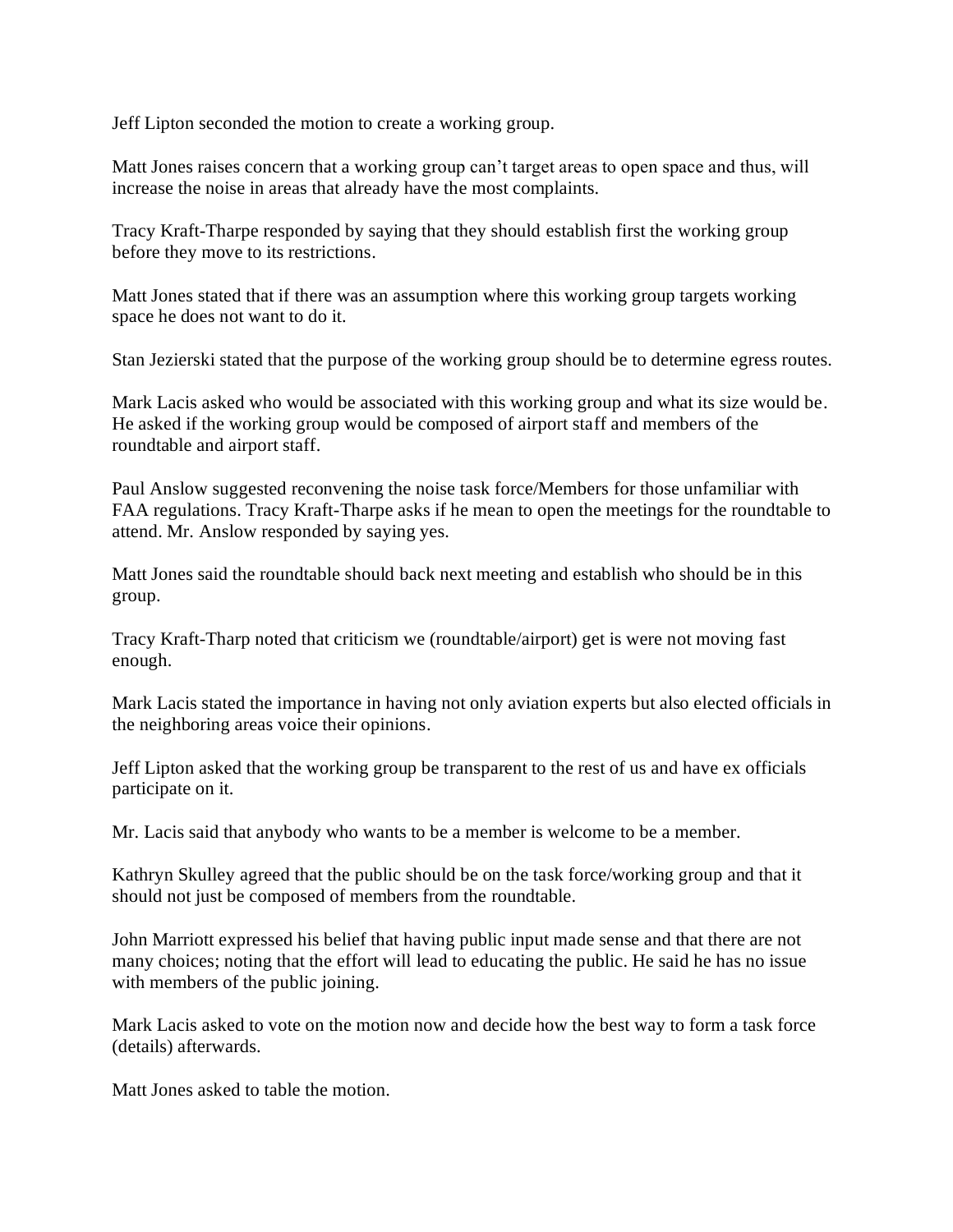Jeff Lipton seconded the motion to create a working group.

Matt Jones raises concern that a working group can't target areas to open space and thus, will increase the noise in areas that already have the most complaints.

Tracy Kraft-Tharpe responded by saying that they should establish first the working group before they move to its restrictions.

Matt Jones stated that if there was an assumption where this working group targets working space he does not want to do it.

Stan Jezierski stated that the purpose of the working group should be to determine egress routes.

Mark Lacis asked who would be associated with this working group and what its size would be. He asked if the working group would be composed of airport staff and members of the roundtable and airport staff.

Paul Anslow suggested reconvening the noise task force/Members for those unfamiliar with FAA regulations. Tracy Kraft-Tharpe asks if he mean to open the meetings for the roundtable to attend. Mr. Anslow responded by saying yes.

Matt Jones said the roundtable should back next meeting and establish who should be in this group.

Tracy Kraft-Tharp noted that criticism we (roundtable/airport) get is were not moving fast enough.

Mark Lacis stated the importance in having not only aviation experts but also elected officials in the neighboring areas voice their opinions.

Jeff Lipton asked that the working group be transparent to the rest of us and have ex officials participate on it.

Mr. Lacis said that anybody who wants to be a member is welcome to be a member.

Kathryn Skulley agreed that the public should be on the task force/working group and that it should not just be composed of members from the roundtable.

John Marriott expressed his belief that having public input made sense and that there are not many choices; noting that the effort will lead to educating the public. He said he has no issue with members of the public joining.

Mark Lacis asked to vote on the motion now and decide how the best way to form a task force (details) afterwards.

Matt Jones asked to table the motion.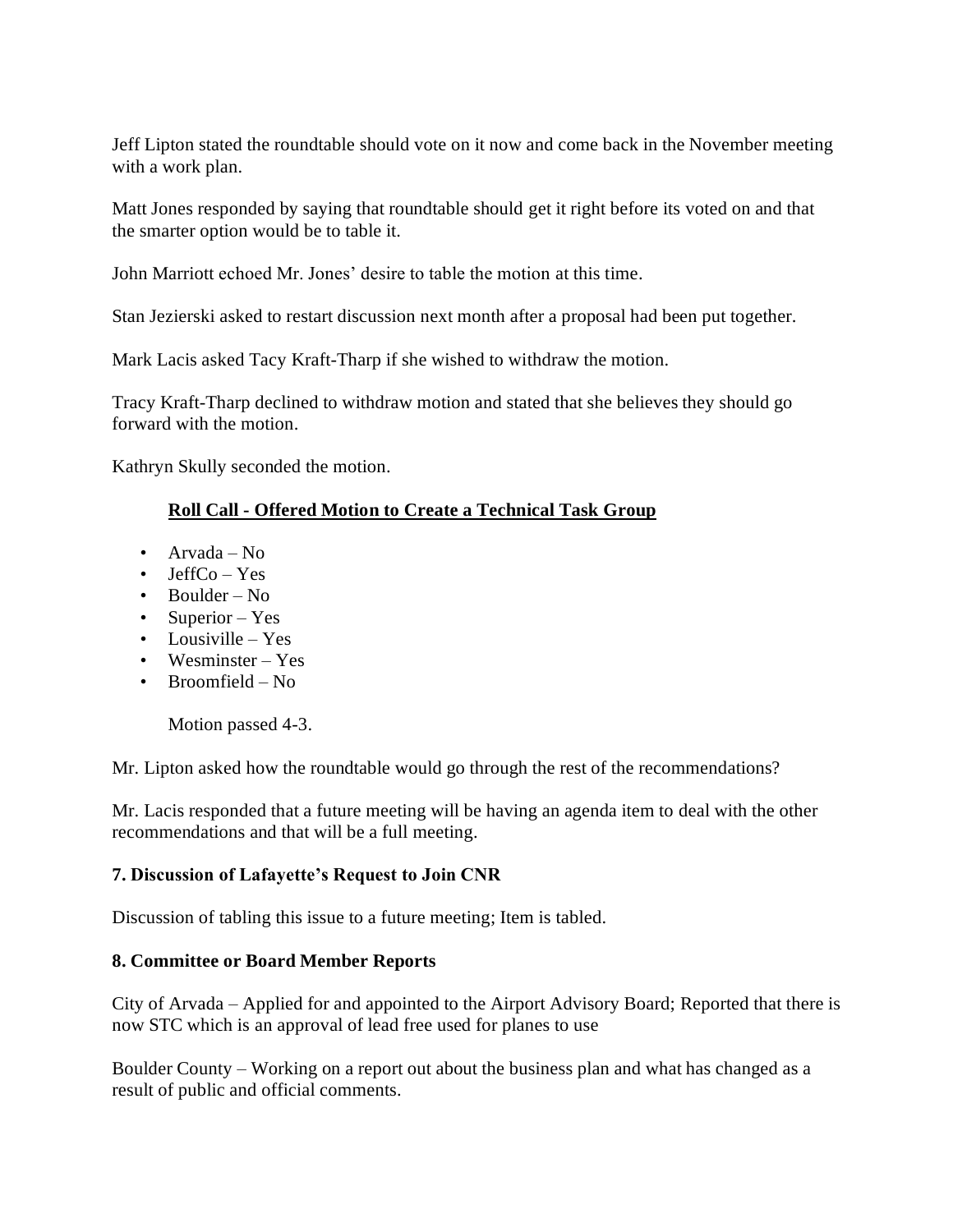Jeff Lipton stated the roundtable should vote on it now and come back in the November meeting with a work plan.

Matt Jones responded by saying that roundtable should get it right before its voted on and that the smarter option would be to table it.

John Marriott echoed Mr. Jones' desire to table the motion at this time.

Stan Jezierski asked to restart discussion next month after a proposal had been put together.

Mark Lacis asked Tacy Kraft-Tharp if she wished to withdraw the motion.

Tracy Kraft-Tharp declined to withdraw motion and stated that she believes they should go forward with the motion.

Kathryn Skully seconded the motion.

## **Roll Call - Offered Motion to Create a Technical Task Group**

- Arvada No
- Jeff $Co Yes$
- Boulder No
- Superior Yes
- Lousiville Yes
- Wesminster Yes
- Broomfield No

Motion passed 4-3.

Mr. Lipton asked how the roundtable would go through the rest of the recommendations?

Mr. Lacis responded that a future meeting will be having an agenda item to deal with the other recommendations and that will be a full meeting.

## **7. Discussion of Lafayette's Request to Join CNR**

Discussion of tabling this issue to a future meeting; Item is tabled.

## **8. Committee or Board Member Reports**

City of Arvada – Applied for and appointed to the Airport Advisory Board; Reported that there is now STC which is an approval of lead free used for planes to use

Boulder County – Working on a report out about the business plan and what has changed as a result of public and official comments.